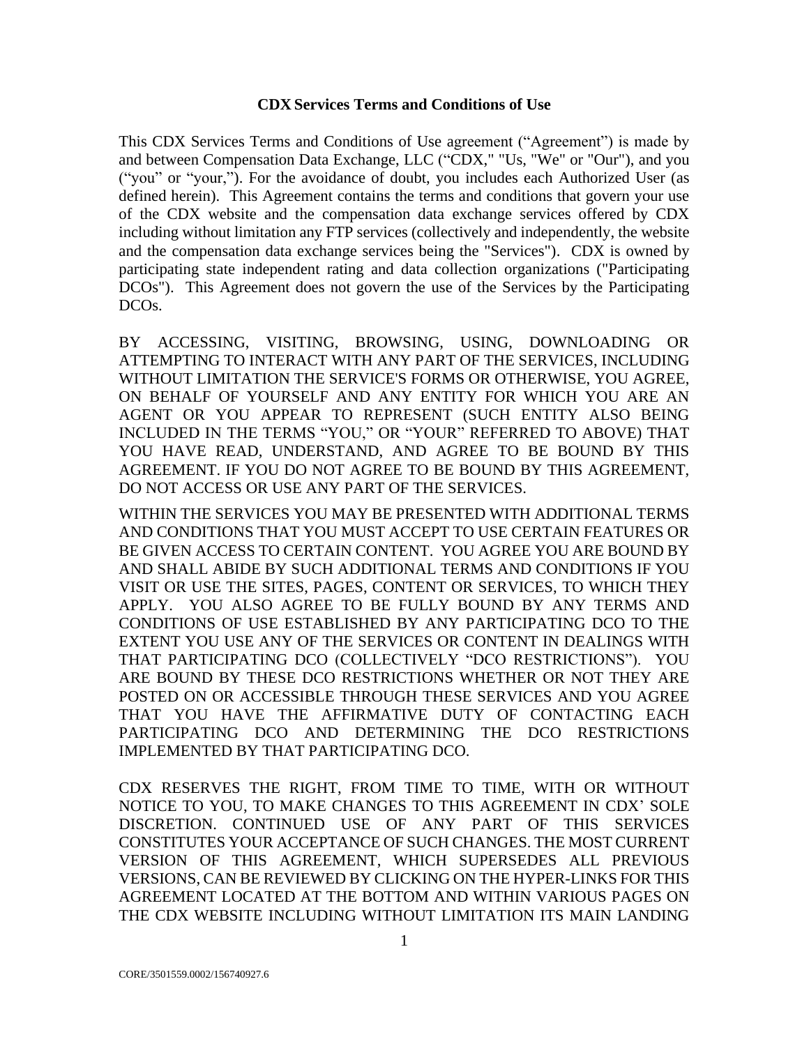#### **CDX Services Terms and Conditions of Use**

This CDX Services Terms and Conditions of Use agreement ("Agreement") is made by and between Compensation Data Exchange, LLC ("CDX," "Us, "We" or "Our"), and you ("you" or "your,"). For the avoidance of doubt, you includes each Authorized User (as defined herein). This Agreement contains the terms and conditions that govern your use of the CDX website and the compensation data exchange services offered by CDX including without limitation any FTP services (collectively and independently, the website and the compensation data exchange services being the "Services"). CDX is owned by participating state independent rating and data collection organizations ("Participating DCOs"). This Agreement does not govern the use of the Services by the Participating DCOs.

BY ACCESSING, VISITING, BROWSING, USING, DOWNLOADING OR ATTEMPTING TO INTERACT WITH ANY PART OF THE SERVICES, INCLUDING WITHOUT LIMITATION THE SERVICE'S FORMS OR OTHERWISE, YOU AGREE, ON BEHALF OF YOURSELF AND ANY ENTITY FOR WHICH YOU ARE AN AGENT OR YOU APPEAR TO REPRESENT (SUCH ENTITY ALSO BEING INCLUDED IN THE TERMS "YOU," OR "YOUR" REFERRED TO ABOVE) THAT YOU HAVE READ, UNDERSTAND, AND AGREE TO BE BOUND BY THIS AGREEMENT. IF YOU DO NOT AGREE TO BE BOUND BY THIS AGREEMENT, DO NOT ACCESS OR USE ANY PART OF THE SERVICES.

WITHIN THE SERVICES YOU MAY BE PRESENTED WITH ADDITIONAL TERMS AND CONDITIONS THAT YOU MUST ACCEPT TO USE CERTAIN FEATURES OR BE GIVEN ACCESS TO CERTAIN CONTENT. YOU AGREE YOU ARE BOUND BY AND SHALL ABIDE BY SUCH ADDITIONAL TERMS AND CONDITIONS IF YOU VISIT OR USE THE SITES, PAGES, CONTENT OR SERVICES, TO WHICH THEY APPLY. YOU ALSO AGREE TO BE FULLY BOUND BY ANY TERMS AND CONDITIONS OF USE ESTABLISHED BY ANY PARTICIPATING DCO TO THE EXTENT YOU USE ANY OF THE SERVICES OR CONTENT IN DEALINGS WITH THAT PARTICIPATING DCO (COLLECTIVELY "DCO RESTRICTIONS"). YOU ARE BOUND BY THESE DCO RESTRICTIONS WHETHER OR NOT THEY ARE POSTED ON OR ACCESSIBLE THROUGH THESE SERVICES AND YOU AGREE THAT YOU HAVE THE AFFIRMATIVE DUTY OF CONTACTING EACH PARTICIPATING DCO AND DETERMINING THE DCO RESTRICTIONS IMPLEMENTED BY THAT PARTICIPATING DCO.

CDX RESERVES THE RIGHT, FROM TIME TO TIME, WITH OR WITHOUT NOTICE TO YOU, TO MAKE CHANGES TO THIS AGREEMENT IN CDX' SOLE DISCRETION. CONTINUED USE OF ANY PART OF THIS SERVICES CONSTITUTES YOUR ACCEPTANCE OF SUCH CHANGES. THE MOST CURRENT VERSION OF THIS AGREEMENT, WHICH SUPERSEDES ALL PREVIOUS VERSIONS, CAN BE REVIEWED BY CLICKING ON THE HYPER-LINKS FOR THIS AGREEMENT LOCATED AT THE BOTTOM AND WITHIN VARIOUS PAGES ON THE CDX WEBSITE INCLUDING WITHOUT LIMITATION ITS MAIN LANDING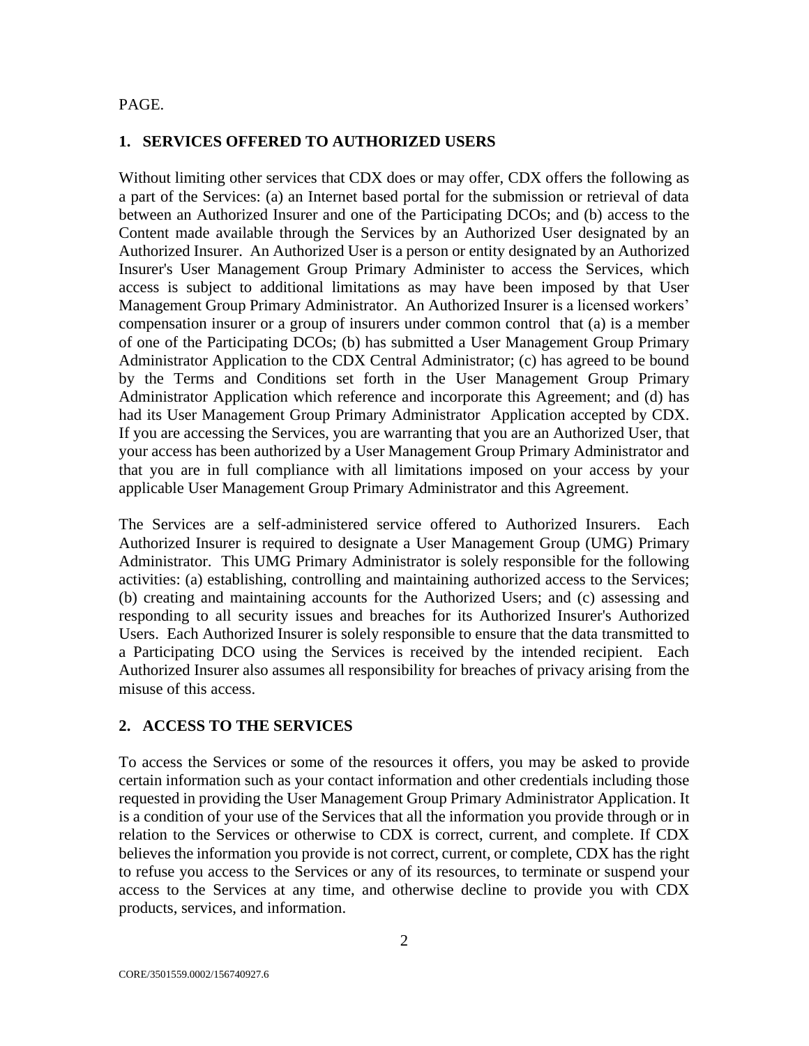#### PAGE.

#### **1. SERVICES OFFERED TO AUTHORIZED USERS**

Without limiting other services that CDX does or may offer, CDX offers the following as a part of the Services: (a) an Internet based portal for the submission or retrieval of data between an Authorized Insurer and one of the Participating DCOs; and (b) access to the Content made available through the Services by an Authorized User designated by an Authorized Insurer. An Authorized User is a person or entity designated by an Authorized Insurer's User Management Group Primary Administer to access the Services, which access is subject to additional limitations as may have been imposed by that User Management Group Primary Administrator. An Authorized Insurer is a licensed workers' compensation insurer or a group of insurers under common control that (a) is a member of one of the Participating DCOs; (b) has submitted a User Management Group Primary Administrator Application to the CDX Central Administrator; (c) has agreed to be bound by the Terms and Conditions set forth in the User Management Group Primary Administrator Application which reference and incorporate this Agreement; and (d) has had its User Management Group Primary Administrator Application accepted by CDX. If you are accessing the Services, you are warranting that you are an Authorized User, that your access has been authorized by a User Management Group Primary Administrator and that you are in full compliance with all limitations imposed on your access by your applicable User Management Group Primary Administrator and this Agreement.

The Services are a self-administered service offered to Authorized Insurers. Each Authorized Insurer is required to designate a User Management Group (UMG) Primary Administrator. This UMG Primary Administrator is solely responsible for the following activities: (a) establishing, controlling and maintaining authorized access to the Services; (b) creating and maintaining accounts for the Authorized Users; and (c) assessing and responding to all security issues and breaches for its Authorized Insurer's Authorized Users. Each Authorized Insurer is solely responsible to ensure that the data transmitted to a Participating DCO using the Services is received by the intended recipient. Each Authorized Insurer also assumes all responsibility for breaches of privacy arising from the misuse of this access.

#### **2. ACCESS TO THE SERVICES**

To access the Services or some of the resources it offers, you may be asked to provide certain information such as your contact information and other credentials including those requested in providing the User Management Group Primary Administrator Application. It is a condition of your use of the Services that all the information you provide through or in relation to the Services or otherwise to CDX is correct, current, and complete. If CDX believes the information you provide is not correct, current, or complete, CDX has the right to refuse you access to the Services or any of its resources, to terminate or suspend your access to the Services at any time, and otherwise decline to provide you with CDX products, services, and information.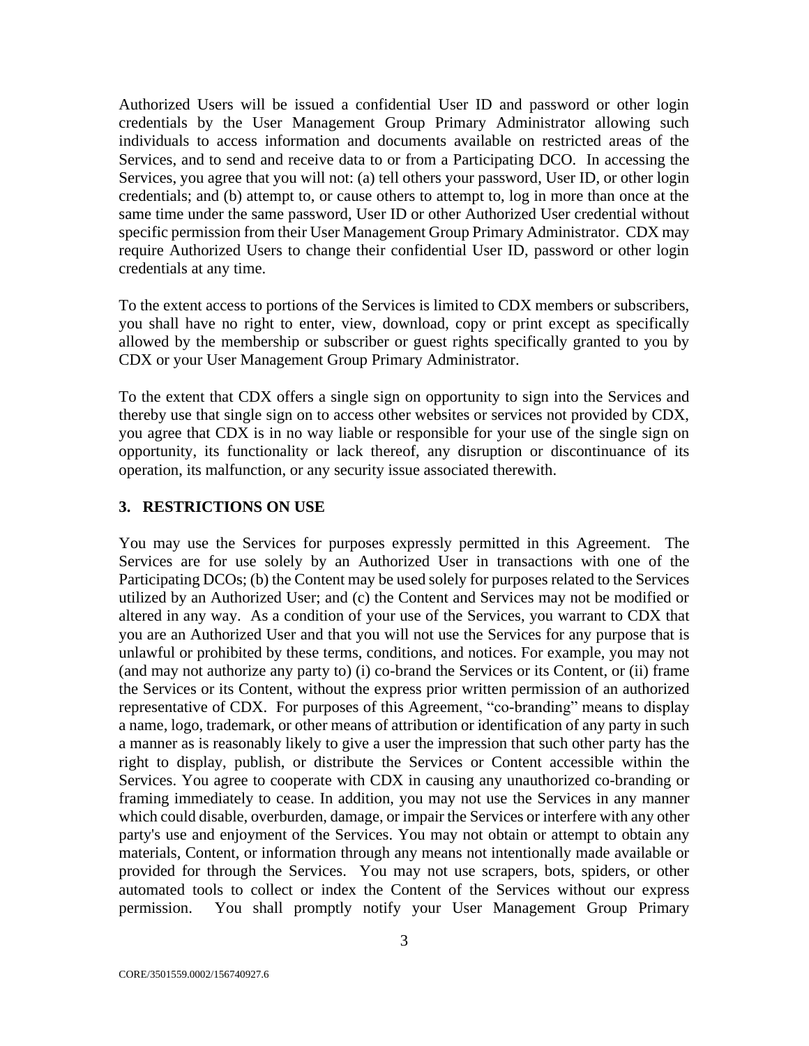Authorized Users will be issued a confidential User ID and password or other login credentials by the User Management Group Primary Administrator allowing such individuals to access information and documents available on restricted areas of the Services, and to send and receive data to or from a Participating DCO. In accessing the Services, you agree that you will not: (a) tell others your password, User ID, or other login credentials; and (b) attempt to, or cause others to attempt to, log in more than once at the same time under the same password, User ID or other Authorized User credential without specific permission from their User Management Group Primary Administrator. CDX may require Authorized Users to change their confidential User ID, password or other login credentials at any time.

To the extent access to portions of the Services is limited to CDX members or subscribers, you shall have no right to enter, view, download, copy or print except as specifically allowed by the membership or subscriber or guest rights specifically granted to you by CDX or your User Management Group Primary Administrator.

To the extent that CDX offers a single sign on opportunity to sign into the Services and thereby use that single sign on to access other websites or services not provided by CDX, you agree that CDX is in no way liable or responsible for your use of the single sign on opportunity, its functionality or lack thereof, any disruption or discontinuance of its operation, its malfunction, or any security issue associated therewith.

#### **3. RESTRICTIONS ON USE**

You may use the Services for purposes expressly permitted in this Agreement. The Services are for use solely by an Authorized User in transactions with one of the Participating DCOs; (b) the Content may be used solely for purposes related to the Services utilized by an Authorized User; and (c) the Content and Services may not be modified or altered in any way. As a condition of your use of the Services, you warrant to CDX that you are an Authorized User and that you will not use the Services for any purpose that is unlawful or prohibited by these terms, conditions, and notices. For example, you may not (and may not authorize any party to) (i) co-brand the Services or its Content, or (ii) frame the Services or its Content, without the express prior written permission of an authorized representative of CDX. For purposes of this Agreement, "co-branding" means to display a name, logo, trademark, or other means of attribution or identification of any party in such a manner as is reasonably likely to give a user the impression that such other party has the right to display, publish, or distribute the Services or Content accessible within the Services. You agree to cooperate with CDX in causing any unauthorized co-branding or framing immediately to cease. In addition, you may not use the Services in any manner which could disable, overburden, damage, or impair the Services or interfere with any other party's use and enjoyment of the Services. You may not obtain or attempt to obtain any materials, Content, or information through any means not intentionally made available or provided for through the Services. You may not use scrapers, bots, spiders, or other automated tools to collect or index the Content of the Services without our express permission. You shall promptly notify your User Management Group Primary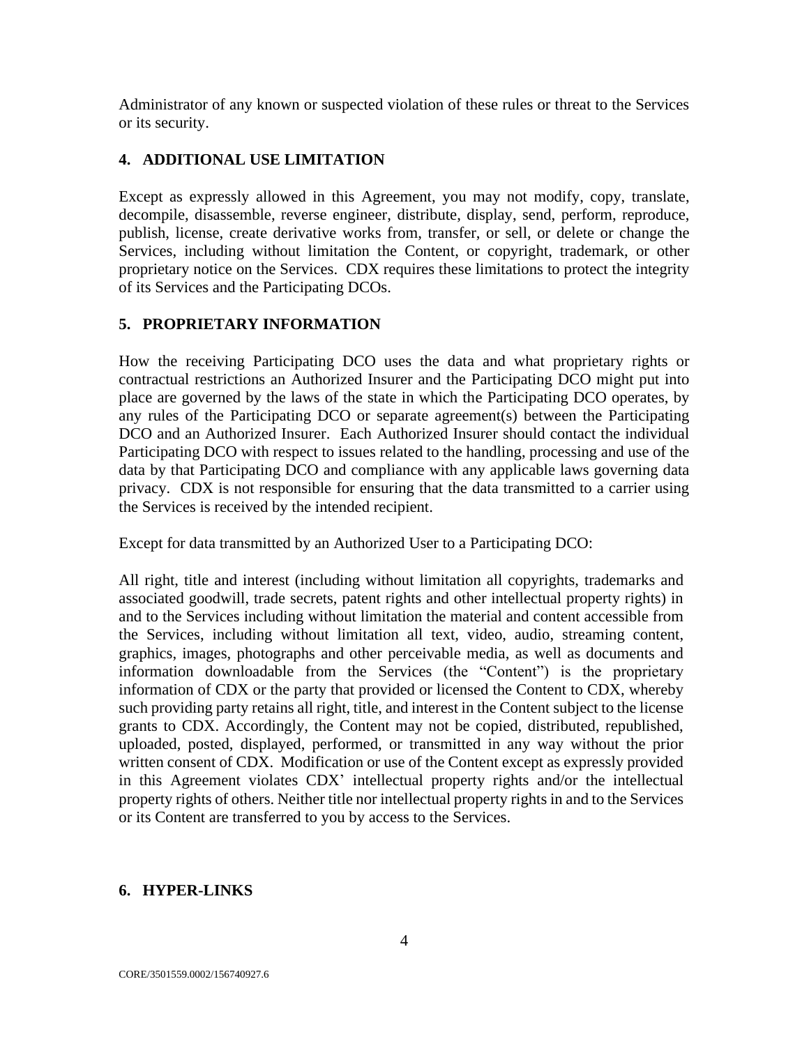Administrator of any known or suspected violation of these rules or threat to the Services or its security.

## **4. ADDITIONAL USE LIMITATION**

Except as expressly allowed in this Agreement, you may not modify, copy, translate, decompile, disassemble, reverse engineer, distribute, display, send, perform, reproduce, publish, license, create derivative works from, transfer, or sell, or delete or change the Services, including without limitation the Content, or copyright, trademark, or other proprietary notice on the Services. CDX requires these limitations to protect the integrity of its Services and the Participating DCOs.

## **5. PROPRIETARY INFORMATION**

How the receiving Participating DCO uses the data and what proprietary rights or contractual restrictions an Authorized Insurer and the Participating DCO might put into place are governed by the laws of the state in which the Participating DCO operates, by any rules of the Participating DCO or separate agreement(s) between the Participating DCO and an Authorized Insurer. Each Authorized Insurer should contact the individual Participating DCO with respect to issues related to the handling, processing and use of the data by that Participating DCO and compliance with any applicable laws governing data privacy. CDX is not responsible for ensuring that the data transmitted to a carrier using the Services is received by the intended recipient.

Except for data transmitted by an Authorized User to a Participating DCO:

All right, title and interest (including without limitation all copyrights, trademarks and associated goodwill, trade secrets, patent rights and other intellectual property rights) in and to the Services including without limitation the material and content accessible from the Services, including without limitation all text, video, audio, streaming content, graphics, images, photographs and other perceivable media, as well as documents and information downloadable from the Services (the "Content") is the proprietary information of CDX or the party that provided or licensed the Content to CDX, whereby such providing party retains all right, title, and interest in the Content subject to the license grants to CDX. Accordingly, the Content may not be copied, distributed, republished, uploaded, posted, displayed, performed, or transmitted in any way without the prior written consent of CDX. Modification or use of the Content except as expressly provided in this Agreement violates CDX' intellectual property rights and/or the intellectual property rights of others. Neither title nor intellectual property rights in and to the Services or its Content are transferred to you by access to the Services.

## **6. HYPER-LINKS**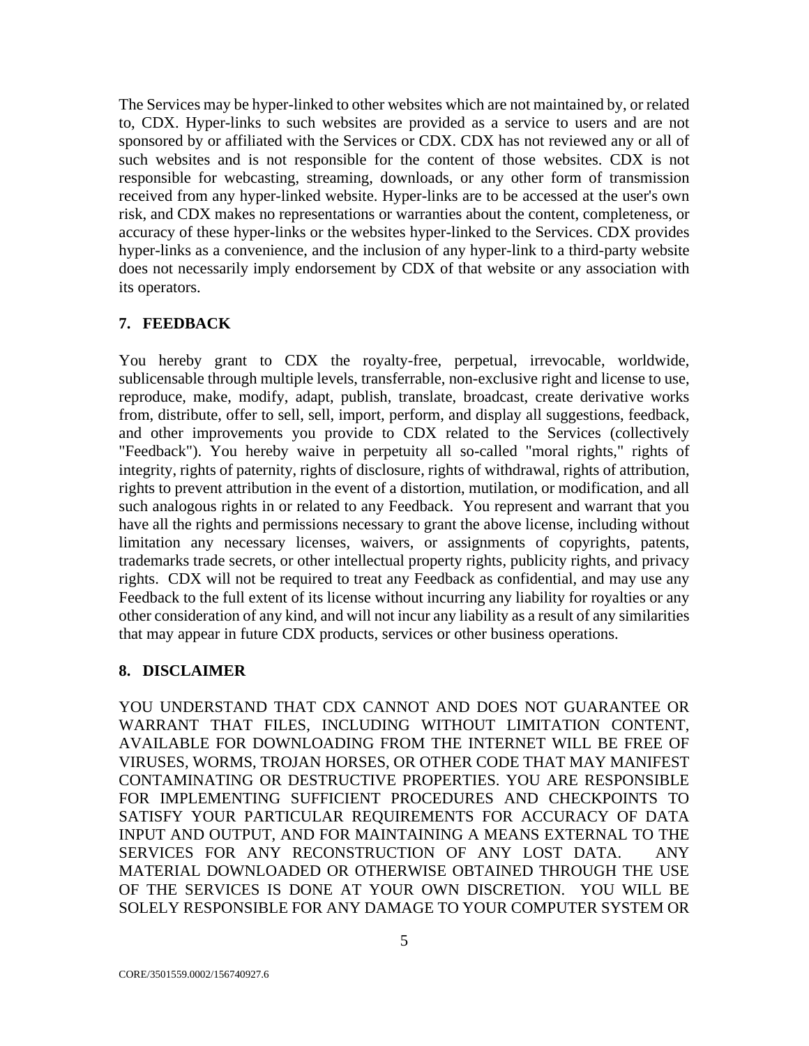The Services may be hyper-linked to other websites which are not maintained by, or related to, CDX. Hyper-links to such websites are provided as a service to users and are not sponsored by or affiliated with the Services or CDX. CDX has not reviewed any or all of such websites and is not responsible for the content of those websites. CDX is not responsible for webcasting, streaming, downloads, or any other form of transmission received from any hyper-linked website. Hyper-links are to be accessed at the user's own risk, and CDX makes no representations or warranties about the content, completeness, or accuracy of these hyper-links or the websites hyper-linked to the Services. CDX provides hyper-links as a convenience, and the inclusion of any hyper-link to a third-party website does not necessarily imply endorsement by CDX of that website or any association with its operators.

## **7. FEEDBACK**

You hereby grant to CDX the royalty-free, perpetual, irrevocable, worldwide, sublicensable through multiple levels, transferrable, non-exclusive right and license to use, reproduce, make, modify, adapt, publish, translate, broadcast, create derivative works from, distribute, offer to sell, sell, import, perform, and display all suggestions, feedback, and other improvements you provide to CDX related to the Services (collectively "Feedback"). You hereby waive in perpetuity all so-called "moral rights," rights of integrity, rights of paternity, rights of disclosure, rights of withdrawal, rights of attribution, rights to prevent attribution in the event of a distortion, mutilation, or modification, and all such analogous rights in or related to any Feedback. You represent and warrant that you have all the rights and permissions necessary to grant the above license, including without limitation any necessary licenses, waivers, or assignments of copyrights, patents, trademarks trade secrets, or other intellectual property rights, publicity rights, and privacy rights. CDX will not be required to treat any Feedback as confidential, and may use any Feedback to the full extent of its license without incurring any liability for royalties or any other consideration of any kind, and will not incur any liability as a result of any similarities that may appear in future CDX products, services or other business operations.

## **8. DISCLAIMER**

YOU UNDERSTAND THAT CDX CANNOT AND DOES NOT GUARANTEE OR WARRANT THAT FILES, INCLUDING WITHOUT LIMITATION CONTENT, AVAILABLE FOR DOWNLOADING FROM THE INTERNET WILL BE FREE OF VIRUSES, WORMS, TROJAN HORSES, OR OTHER CODE THAT MAY MANIFEST CONTAMINATING OR DESTRUCTIVE PROPERTIES. YOU ARE RESPONSIBLE FOR IMPLEMENTING SUFFICIENT PROCEDURES AND CHECKPOINTS TO SATISFY YOUR PARTICULAR REQUIREMENTS FOR ACCURACY OF DATA INPUT AND OUTPUT, AND FOR MAINTAINING A MEANS EXTERNAL TO THE SERVICES FOR ANY RECONSTRUCTION OF ANY LOST DATA. ANY MATERIAL DOWNLOADED OR OTHERWISE OBTAINED THROUGH THE USE OF THE SERVICES IS DONE AT YOUR OWN DISCRETION. YOU WILL BE SOLELY RESPONSIBLE FOR ANY DAMAGE TO YOUR COMPUTER SYSTEM OR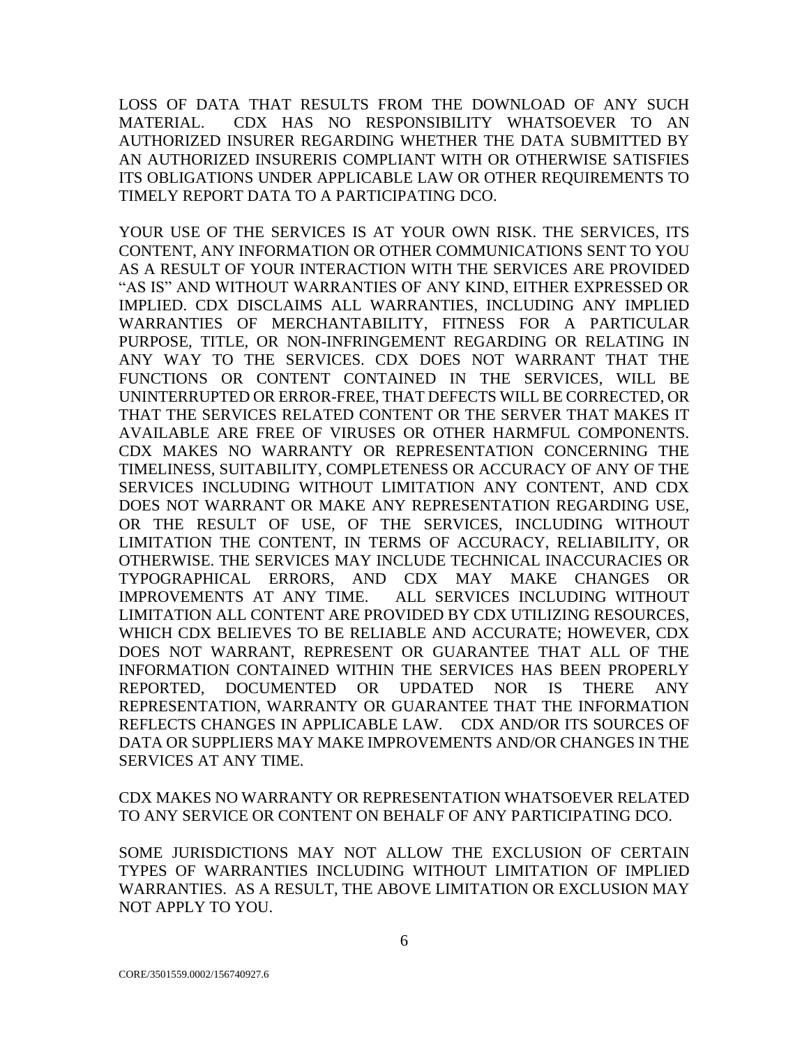LOSS OF DATA THAT RESULTS FROM THE DOWNLOAD OF ANY SUCH MATERIAL. CDX HAS NO RESPONSIBILITY WHATSOEVER TO AN AUTHORIZED INSURER REGARDING WHETHER THE DATA SUBMITTED BY AN AUTHORIZED INSURERIS COMPLIANT WITH OR OTHERWISE SATISFIES ITS OBLIGATIONS UNDER APPLICABLE LAW OR OTHER REQUIREMENTS TO TIMELY REPORT DATA TO A PARTICIPATING DCO.

YOUR USE OF THE SERVICES IS AT YOUR OWN RISK. THE SERVICES, ITS CONTENT, ANY INFORMATION OR OTHER COMMUNICATIONS SENT TO YOU AS A RESULT OF YOUR INTERACTION WITH THE SERVICES ARE PROVIDED "AS IS" AND WITHOUT WARRANTIES OF ANY KIND, EITHER EXPRESSED OR IMPLIED. CDX DISCLAIMS ALL WARRANTIES, INCLUDING ANY IMPLIED WARRANTIES OF MERCHANTABILITY, FITNESS FOR A PARTICULAR PURPOSE, TITLE, OR NON-INFRINGEMENT REGARDING OR RELATING IN ANY WAY TO THE SERVICES. CDX DOES NOT WARRANT THAT THE FUNCTIONS OR CONTENT CONTAINED IN THE SERVICES, WILL BE UNINTERRUPTED OR ERROR-FREE, THAT DEFECTS WILL BE CORRECTED, OR THAT THE SERVICES RELATED CONTENT OR THE SERVER THAT MAKES IT AVAILABLE ARE FREE OF VIRUSES OR OTHER HARMFUL COMPONENTS. CDX MAKES NO WARRANTY OR REPRESENTATION CONCERNING THE TIMELINESS, SUITABILITY, COMPLETENESS OR ACCURACY OF ANY OF THE SERVICES INCLUDING WITHOUT LIMITATION ANY CONTENT, AND CDX DOES NOT WARRANT OR MAKE ANY REPRESENTATION REGARDING USE, OR THE RESULT OF USE, OF THE SERVICES, INCLUDING WITHOUT LIMITATION THE CONTENT, IN TERMS OF ACCURACY, RELIABILITY, OR OTHERWISE. THE SERVICES MAY INCLUDE TECHNICAL INACCURACIES OR TYPOGRAPHICAL ERRORS, AND CDX MAY MAKE CHANGES OR IMPROVEMENTS AT ANY TIME. ALL SERVICES INCLUDING WITHOUT LIMITATION ALL CONTENT ARE PROVIDED BY CDX UTILIZING RESOURCES, WHICH CDX BELIEVES TO BE RELIABLE AND ACCURATE; HOWEVER, CDX DOES NOT WARRANT, REPRESENT OR GUARANTEE THAT ALL OF THE INFORMATION CONTAINED WITHIN THE SERVICES HAS BEEN PROPERLY REPORTED, DOCUMENTED OR UPDATED NOR IS THERE ANY REPRESENTATION, WARRANTY OR GUARANTEE THAT THE INFORMATION REFLECTS CHANGES IN APPLICABLE LAW. CDX AND/OR ITS SOURCES OF DATA OR SUPPLIERS MAY MAKE IMPROVEMENTS AND/OR CHANGES IN THE SERVICES AT ANY TIME.

CDX MAKES NO WARRANTY OR REPRESENTATION WHATSOEVER RELATED TO ANY SERVICE OR CONTENT ON BEHALF OF ANY PARTICIPATING DCO.

SOME JURISDICTIONS MAY NOT ALLOW THE EXCLUSION OF CERTAIN TYPES OF WARRANTIES INCLUDING WITHOUT LIMITATION OF IMPLIED WARRANTIES. AS A RESULT, THE ABOVE LIMITATION OR EXCLUSION MAY NOT APPLY TO YOU.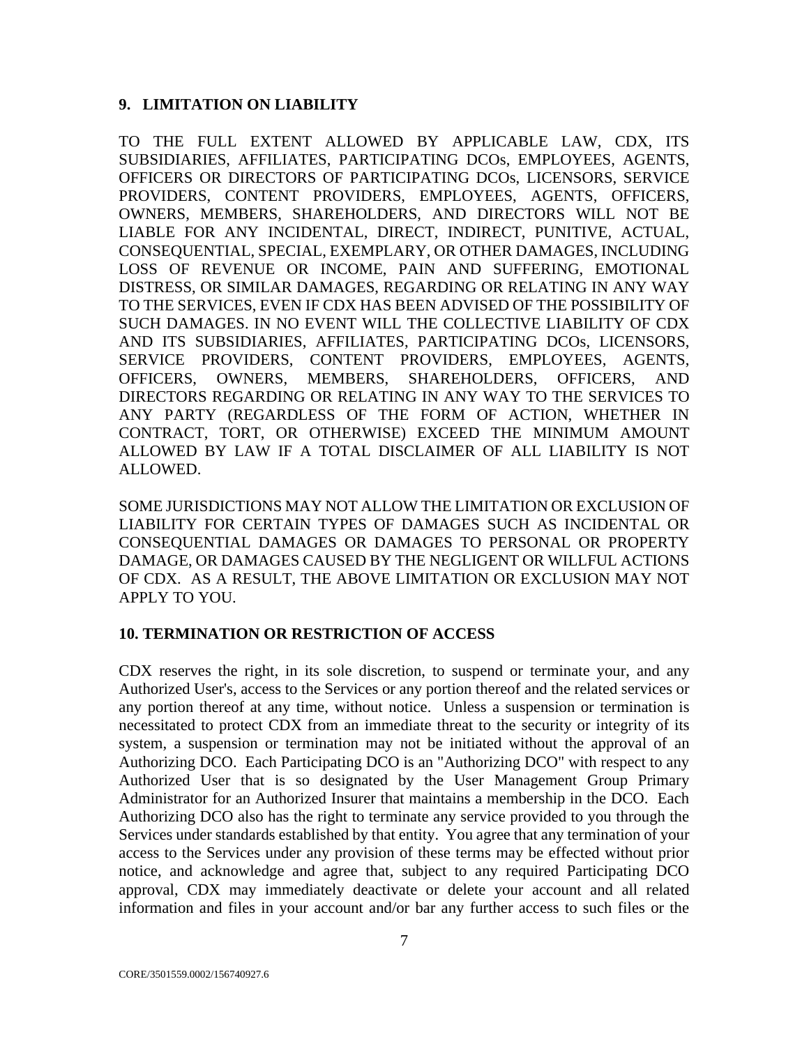#### **9. LIMITATION ON LIABILITY**

TO THE FULL EXTENT ALLOWED BY APPLICABLE LAW, CDX, ITS SUBSIDIARIES, AFFILIATES, PARTICIPATING DCOs, EMPLOYEES, AGENTS, OFFICERS OR DIRECTORS OF PARTICIPATING DCOs, LICENSORS, SERVICE PROVIDERS, CONTENT PROVIDERS, EMPLOYEES, AGENTS, OFFICERS, OWNERS, MEMBERS, SHAREHOLDERS, AND DIRECTORS WILL NOT BE LIABLE FOR ANY INCIDENTAL, DIRECT, INDIRECT, PUNITIVE, ACTUAL, CONSEQUENTIAL, SPECIAL, EXEMPLARY, OR OTHER DAMAGES, INCLUDING LOSS OF REVENUE OR INCOME, PAIN AND SUFFERING, EMOTIONAL DISTRESS, OR SIMILAR DAMAGES, REGARDING OR RELATING IN ANY WAY TO THE SERVICES, EVEN IF CDX HAS BEEN ADVISED OF THE POSSIBILITY OF SUCH DAMAGES. IN NO EVENT WILL THE COLLECTIVE LIABILITY OF CDX AND ITS SUBSIDIARIES, AFFILIATES, PARTICIPATING DCOs, LICENSORS, SERVICE PROVIDERS, CONTENT PROVIDERS, EMPLOYEES, AGENTS, OFFICERS, OWNERS, MEMBERS, SHAREHOLDERS, OFFICERS, AND DIRECTORS REGARDING OR RELATING IN ANY WAY TO THE SERVICES TO ANY PARTY (REGARDLESS OF THE FORM OF ACTION, WHETHER IN CONTRACT, TORT, OR OTHERWISE) EXCEED THE MINIMUM AMOUNT ALLOWED BY LAW IF A TOTAL DISCLAIMER OF ALL LIABILITY IS NOT ALLOWED.

SOME JURISDICTIONS MAY NOT ALLOW THE LIMITATION OR EXCLUSION OF LIABILITY FOR CERTAIN TYPES OF DAMAGES SUCH AS INCIDENTAL OR CONSEQUENTIAL DAMAGES OR DAMAGES TO PERSONAL OR PROPERTY DAMAGE, OR DAMAGES CAUSED BY THE NEGLIGENT OR WILLFUL ACTIONS OF CDX. AS A RESULT, THE ABOVE LIMITATION OR EXCLUSION MAY NOT APPLY TO YOU.

#### **10. TERMINATION OR RESTRICTION OF ACCESS**

CDX reserves the right, in its sole discretion, to suspend or terminate your, and any Authorized User's, access to the Services or any portion thereof and the related services or any portion thereof at any time, without notice. Unless a suspension or termination is necessitated to protect CDX from an immediate threat to the security or integrity of its system, a suspension or termination may not be initiated without the approval of an Authorizing DCO. Each Participating DCO is an "Authorizing DCO" with respect to any Authorized User that is so designated by the User Management Group Primary Administrator for an Authorized Insurer that maintains a membership in the DCO. Each Authorizing DCO also has the right to terminate any service provided to you through the Services under standards established by that entity. You agree that any termination of your access to the Services under any provision of these terms may be effected without prior notice, and acknowledge and agree that, subject to any required Participating DCO approval, CDX may immediately deactivate or delete your account and all related information and files in your account and/or bar any further access to such files or the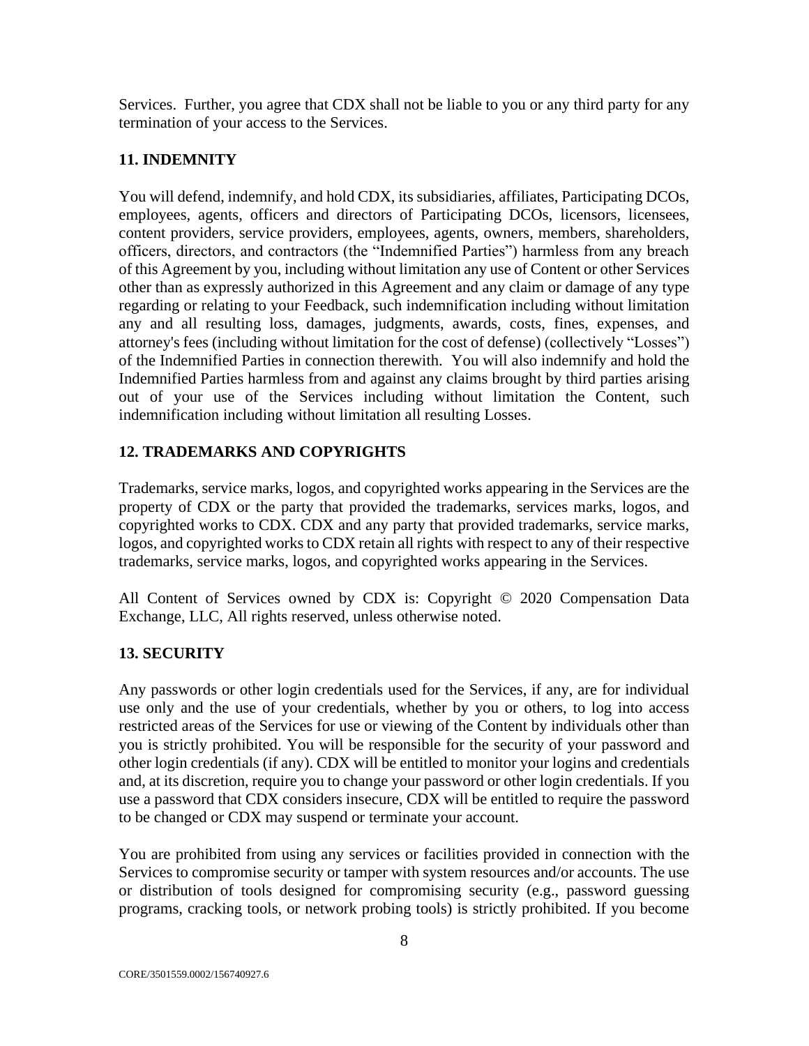Services. Further, you agree that CDX shall not be liable to you or any third party for any termination of your access to the Services.

## **11. INDEMNITY**

You will defend, indemnify, and hold CDX, its subsidiaries, affiliates, Participating DCOs, employees, agents, officers and directors of Participating DCOs, licensors, licensees, content providers, service providers, employees, agents, owners, members, shareholders, officers, directors, and contractors (the "Indemnified Parties") harmless from any breach of this Agreement by you, including without limitation any use of Content or other Services other than as expressly authorized in this Agreement and any claim or damage of any type regarding or relating to your Feedback, such indemnification including without limitation any and all resulting loss, damages, judgments, awards, costs, fines, expenses, and attorney's fees (including without limitation for the cost of defense) (collectively "Losses") of the Indemnified Parties in connection therewith. You will also indemnify and hold the Indemnified Parties harmless from and against any claims brought by third parties arising out of your use of the Services including without limitation the Content, such indemnification including without limitation all resulting Losses.

## **12. TRADEMARKS AND COPYRIGHTS**

Trademarks, service marks, logos, and copyrighted works appearing in the Services are the property of CDX or the party that provided the trademarks, services marks, logos, and copyrighted works to CDX. CDX and any party that provided trademarks, service marks, logos, and copyrighted works to CDX retain all rights with respect to any of their respective trademarks, service marks, logos, and copyrighted works appearing in the Services.

All Content of Services owned by CDX is: Copyright © 2020 Compensation Data Exchange, LLC, All rights reserved, unless otherwise noted.

# **13. SECURITY**

Any passwords or other login credentials used for the Services, if any, are for individual use only and the use of your credentials, whether by you or others, to log into access restricted areas of the Services for use or viewing of the Content by individuals other than you is strictly prohibited. You will be responsible for the security of your password and other login credentials (if any). CDX will be entitled to monitor your logins and credentials and, at its discretion, require you to change your password or other login credentials. If you use a password that CDX considers insecure, CDX will be entitled to require the password to be changed or CDX may suspend or terminate your account.

You are prohibited from using any services or facilities provided in connection with the Services to compromise security or tamper with system resources and/or accounts. The use or distribution of tools designed for compromising security (e.g., password guessing programs, cracking tools, or network probing tools) is strictly prohibited. If you become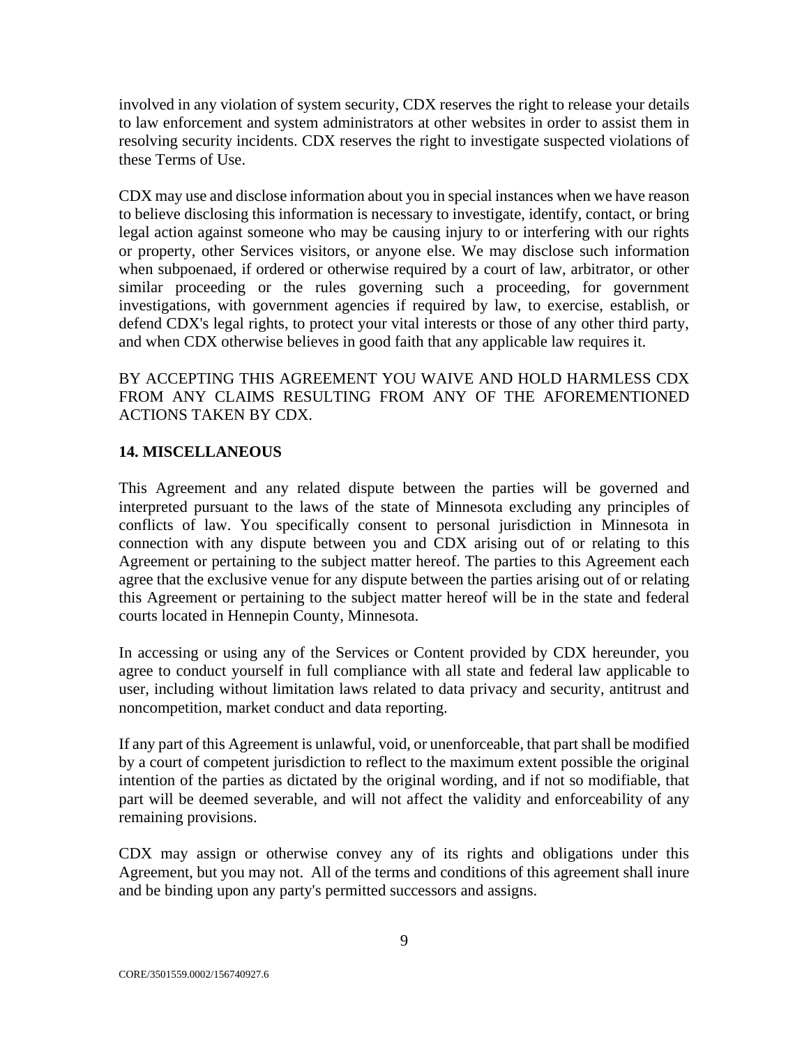involved in any violation of system security, CDX reserves the right to release your details to law enforcement and system administrators at other websites in order to assist them in resolving security incidents. CDX reserves the right to investigate suspected violations of these Terms of Use.

CDX may use and disclose information about you in special instances when we have reason to believe disclosing this information is necessary to investigate, identify, contact, or bring legal action against someone who may be causing injury to or interfering with our rights or property, other Services visitors, or anyone else. We may disclose such information when subpoenaed, if ordered or otherwise required by a court of law, arbitrator, or other similar proceeding or the rules governing such a proceeding, for government investigations, with government agencies if required by law, to exercise, establish, or defend CDX's legal rights, to protect your vital interests or those of any other third party, and when CDX otherwise believes in good faith that any applicable law requires it.

BY ACCEPTING THIS AGREEMENT YOU WAIVE AND HOLD HARMLESS CDX FROM ANY CLAIMS RESULTING FROM ANY OF THE AFOREMENTIONED ACTIONS TAKEN BY CDX.

### **14. MISCELLANEOUS**

This Agreement and any related dispute between the parties will be governed and interpreted pursuant to the laws of the state of Minnesota excluding any principles of conflicts of law. You specifically consent to personal jurisdiction in Minnesota in connection with any dispute between you and CDX arising out of or relating to this Agreement or pertaining to the subject matter hereof. The parties to this Agreement each agree that the exclusive venue for any dispute between the parties arising out of or relating this Agreement or pertaining to the subject matter hereof will be in the state and federal courts located in Hennepin County, Minnesota.

In accessing or using any of the Services or Content provided by CDX hereunder, you agree to conduct yourself in full compliance with all state and federal law applicable to user, including without limitation laws related to data privacy and security, antitrust and noncompetition, market conduct and data reporting.

If any part of this Agreement is unlawful, void, or unenforceable, that partshall be modified by a court of competent jurisdiction to reflect to the maximum extent possible the original intention of the parties as dictated by the original wording, and if not so modifiable, that part will be deemed severable, and will not affect the validity and enforceability of any remaining provisions.

CDX may assign or otherwise convey any of its rights and obligations under this Agreement, but you may not. All of the terms and conditions of this agreement shall inure and be binding upon any party's permitted successors and assigns.